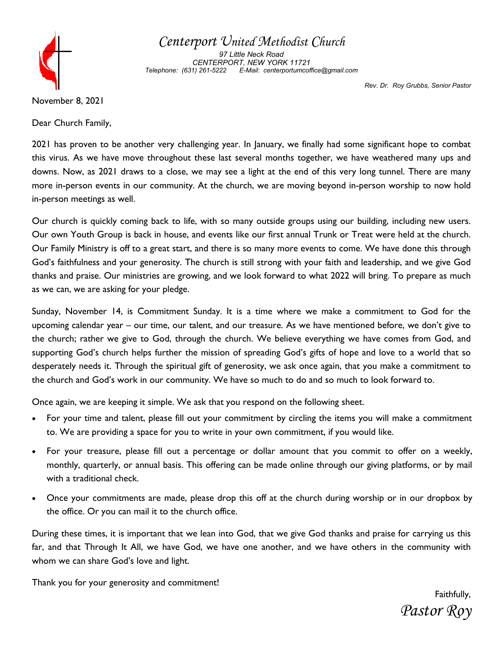

Centerport United Methodist Church

97 Little Neck Road CENTERPORT, NEW YORK 11721 Telephone: (631) 261-5222 E-Mail: centerportumcoffice@gmail.com

Rev. Dr. Roy Grubbs, Senior Pastor

November 8, 2021

Dear Church Family,

2021 has proven to be another very challenging year. In January, we finally had some significant hope to combat this virus. As we have move throughout these last several months together, we have weathered many ups and downs. Now, as 2021 draws to a close, we may see a light at the end of this very long tunnel. There are many more in-person events in our community. At the church, we are moving beyond in-person worship to now hold in-person meetings as well.

Our church is quickly coming back to life, with so many outside groups using our building, including new users. Our own Youth Group is back in house, and events like our first annual Trunk or Treat were held at the church. Our Family Ministry is off to a great start, and there is so many more events to come. We have done this through God's faithfulness and your generosity. The church is still strong with your faith and leadership, and we give God thanks and praise. Our ministries are growing, and we look forward to what 2022 will bring. To prepare as much as we can, we are asking for your pledge.

Sunday, November 14, is Commitment Sunday. It is a time where we make a commitment to God for the upcoming calendar year – our time, our talent, and our treasure. As we have mentioned before, we don't give to the church; rather we give to God, through the church. We believe everything we have comes from God, and supporting God's church helps further the mission of spreading God's gifts of hope and love to a world that so desperately needs it. Through the spiritual gift of generosity, we ask once again, that you make a commitment to the church and God's work in our community. We have so much to do and so much to look forward to.

Once again, we are keeping it simple. We ask that you respond on the following sheet.

- · For your time and talent, please fill out your commitment by circling the items you will make a commitment to. We are providing a space for you to write in your own commitment, if you would like.
- · For your treasure, please fill out a percentage or dollar amount that you commit to offer on a weekly, monthly, quarterly, or annual basis. This offering can be made online through our giving platforms, or by mail with a traditional check.
- · Once your commitments are made, please drop this off at the church during worship or in our dropbox by the office. Or you can mail it to the church office.

During these times, it is important that we lean into God, that we give God thanks and praise for carrying us this far, and that Through It All, we have God, we have one another, and we have others in the community with whom we can share God's love and light.

Thank you for your generosity and commitment!

Faithfully, Pastor Roy